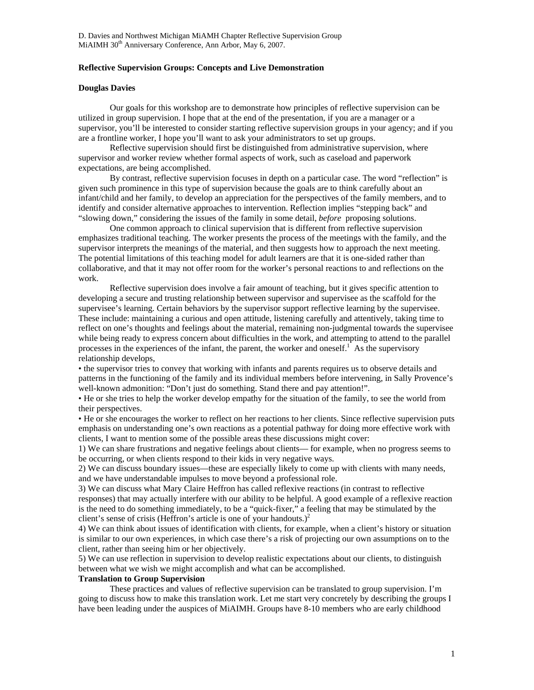# **Reflective Supervision Groups: Concepts and Live Demonstration**

# **Douglas Davies**

Our goals for this workshop are to demonstrate how principles of reflective supervision can be utilized in group supervision. I hope that at the end of the presentation, if you are a manager or a supervisor, you'll be interested to consider starting reflective supervision groups in your agency; and if you are a frontline worker, I hope you'll want to ask your administrators to set up groups.

Reflective supervision should first be distinguished from administrative supervision, where supervisor and worker review whether formal aspects of work, such as caseload and paperwork expectations, are being accomplished.

By contrast, reflective supervision focuses in depth on a particular case. The word "reflection" is given such prominence in this type of supervision because the goals are to think carefully about an infant/child and her family, to develop an appreciation for the perspectives of the family members, and to identify and consider alternative approaches to intervention. Reflection implies "stepping back" and "slowing down," considering the issues of the family in some detail, *before* proposing solutions.

One common approach to clinical supervision that is different from reflective supervision emphasizes traditional teaching. The worker presents the process of the meetings with the family, and the supervisor interprets the meanings of the material, and then suggests how to approach the next meeting. The potential limitations of this teaching model for adult learners are that it is one-sided rather than collaborative, and that it may not offer room for the worker's personal reactions to and reflections on the work.

Reflective supervision does involve a fair amount of teaching, but it gives specific attention to developing a secure and trusting relationship between supervisor and supervisee as the scaffold for the supervisee's learning. Certain behaviors by the supervisor support reflective learning by the supervisee. These include: maintaining a curious and open attitude, listening carefully and attentively, taking time to reflect on one's thoughts and feelings about the material, remaining non-judgmental towards the supervisee while being ready to express concern about difficulties in the work, and attempting to attend to the parallel processes in the experiences of the infant, the parent, the worker and oneself.<sup>1</sup> As the supervisory relationship develops,

• the supervisor tries to convey that working with infants and parents requires us to observe details and patterns in the functioning of the family and its individual members before intervening, in Sally Provence's well-known admonition: "Don't just do something. Stand there and pay attention!".

• He or she tries to help the worker develop empathy for the situation of the family, to see the world from their perspectives.

• He or she encourages the worker to reflect on her reactions to her clients. Since reflective supervision puts emphasis on understanding one's own reactions as a potential pathway for doing more effective work with clients, I want to mention some of the possible areas these discussions might cover:

1) We can share frustrations and negative feelings about clients— for example, when no progress seems to be occurring, or when clients respond to their kids in very negative ways.

2) We can discuss boundary issues—these are especially likely to come up with clients with many needs, and we have understandable impulses to move beyond a professional role.

3) We can discuss what Mary Claire Heffron has called reflexive reactions (in contrast to reflective responses) that may actually interfere with our ability to be helpful. A good example of a reflexive reaction is the need to do something immediately, to be a "quick-fixer," a feeling that may be stimulated by the client's sense of crisis (Heffron's article is one of your handouts.)<sup>[2](#page-3-1)</sup>

4) We can think about issues of identification with clients, for example, when a client's history or situation is similar to our own experiences, in which case there's a risk of projecting our own assumptions on to the client, rather than seeing him or her objectively.

5) We can use reflection in supervision to develop realistic expectations about our clients, to distinguish between what we wish we might accomplish and what can be accomplished.

#### **Translation to Group Supervision**

These practices and values of reflective supervision can be translated to group supervision. I'm going to discuss how to make this translation work. Let me start very concretely by describing the groups I have been leading under the auspices of MiAIMH. Groups have 8-10 members who are early childhood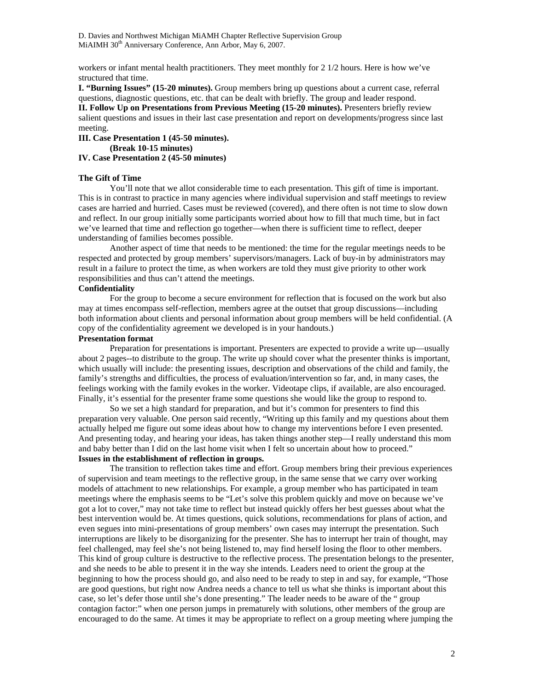D. Davies and Northwest Michigan MiAMH Chapter Reflective Supervision Group MiAIMH 30<sup>th</sup> Anniversary Conference, Ann Arbor, May 6, 2007.

workers or infant mental health practitioners. They meet monthly for 2 1/2 hours. Here is how we've structured that time.

**I. "Burning Issues" (15-20 minutes).** Group members bring up questions about a current case, referral questions, diagnostic questions, etc. that can be dealt with briefly. The group and leader respond.

**II. Follow Up on Presentations from Previous Meeting (15-20 minutes).** Presenters briefly review salient questions and issues in their last case presentation and report on developments/progress since last meeting.

**III. Case Presentation 1 (45-50 minutes). (Break 10-15 minutes)** 

**IV. Case Presentation 2 (45-50 minutes)**

# **The Gift of Time**

You'll note that we allot considerable time to each presentation. This gift of time is important. This is in contrast to practice in many agencies where individual supervision and staff meetings to review cases are harried and hurried. Cases must be reviewed (covered), and there often is not time to slow down and reflect. In our group initially some participants worried about how to fill that much time, but in fact we've learned that time and reflection go together—when there is sufficient time to reflect, deeper understanding of families becomes possible.

Another aspect of time that needs to be mentioned: the time for the regular meetings needs to be respected and protected by group members' supervisors/managers. Lack of buy-in by administrators may result in a failure to protect the time, as when workers are told they must give priority to other work responsibilities and thus can't attend the meetings.

# **Confidentiality**

For the group to become a secure environment for reflection that is focused on the work but also may at times encompass self-reflection, members agree at the outset that group discussions—including both information about clients and personal information about group members will be held confidential. (A copy of the confidentiality agreement we developed is in your handouts.)

### **Presentation format**

Preparation for presentations is important. Presenters are expected to provide a write up—usually about 2 pages--to distribute to the group. The write up should cover what the presenter thinks is important, which usually will include: the presenting issues, description and observations of the child and family, the family's strengths and difficulties, the process of evaluation/intervention so far, and, in many cases, the feelings working with the family evokes in the worker. Videotape clips, if available, are also encouraged. Finally, it's essential for the presenter frame some questions she would like the group to respond to.

So we set a high standard for preparation, and but it's common for presenters to find this preparation very valuable. One person said recently, "Writing up this family and my questions about them actually helped me figure out some ideas about how to change my interventions before I even presented. And presenting today, and hearing your ideas, has taken things another step—I really understand this mom and baby better than I did on the last home visit when I felt so uncertain about how to proceed." **Issues in the establishment of reflection in groups.** 

The transition to reflection takes time and effort. Group members bring their previous experiences of supervision and team meetings to the reflective group, in the same sense that we carry over working models of attachment to new relationships. For example, a group member who has participated in team meetings where the emphasis seems to be "Let's solve this problem quickly and move on because we've got a lot to cover," may not take time to reflect but instead quickly offers her best guesses about what the best intervention would be. At times questions, quick solutions, recommendations for plans of action, and even segues into mini-presentations of group members' own cases may interrupt the presentation. Such interruptions are likely to be disorganizing for the presenter. She has to interrupt her train of thought, may feel challenged, may feel she's not being listened to, may find herself losing the floor to other members. This kind of group culture is destructive to the reflective process. The presentation belongs to the presenter, and she needs to be able to present it in the way she intends. Leaders need to orient the group at the beginning to how the process should go, and also need to be ready to step in and say, for example, "Those are good questions, but right now Andrea needs a chance to tell us what she thinks is important about this case, so let's defer those until she's done presenting." The leader needs to be aware of the " group contagion factor:" when one person jumps in prematurely with solutions, other members of the group are encouraged to do the same. At times it may be appropriate to reflect on a group meeting where jumping the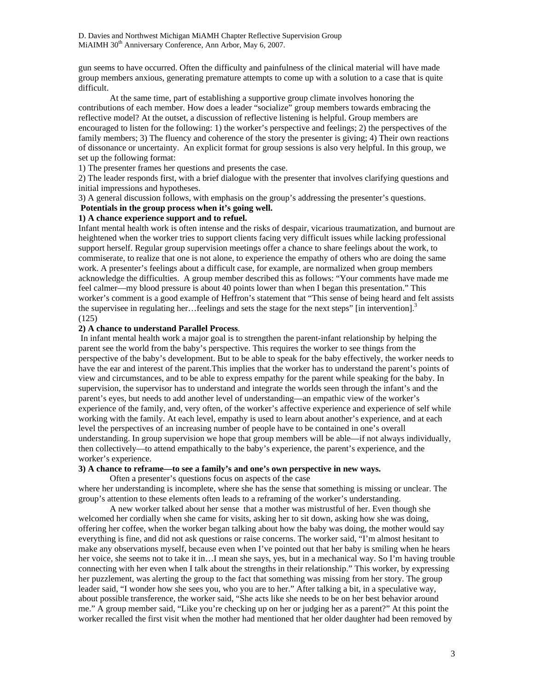D. Davies and Northwest Michigan MiAMH Chapter Reflective Supervision Group MiAIMH 30<sup>th</sup> Anniversary Conference, Ann Arbor, May 6, 2007.

gun seems to have occurred. Often the difficulty and painfulness of the clinical material will have made group members anxious, generating premature attempts to come up with a solution to a case that is quite difficult.

At the same time, part of establishing a supportive group climate involves honoring the contributions of each member. How does a leader "socialize" group members towards embracing the reflective model? At the outset, a discussion of reflective listening is helpful. Group members are encouraged to listen for the following: 1) the worker's perspective and feelings; 2) the perspectives of the family members; 3) The fluency and coherence of the story the presenter is giving; 4) Their own reactions of dissonance or uncertainty. An explicit format for group sessions is also very helpful. In this group, we set up the following format:

1) The presenter frames her questions and presents the case.

2) The leader responds first, with a brief dialogue with the presenter that involves clarifying questions and initial impressions and hypotheses.

3) A general discussion follows, with emphasis on the group's addressing the presenter's questions.

# **Potentials in the group process when it's going well.**

# **1) A chance experience support and to refuel.**

Infant mental health work is often intense and the risks of despair, vicarious traumatization, and burnout are heightened when the worker tries to support clients facing very difficult issues while lacking professional support herself. Regular group supervision meetings offer a chance to share feelings about the work, to commiserate, to realize that one is not alone, to experience the empathy of others who are doing the same work. A presenter's feelings about a difficult case, for example, are normalized when group members acknowledge the difficulties. A group member described this as follows: "Your comments have made me feel calmer—my blood pressure is about 40 points lower than when I began this presentation." This worker's comment is a good example of Heffron's statement that "This sense of being heard and felt assists the supervisee in regulating her... feelings and sets the stage for the next steps" [in intervention].<sup>[3](#page-3-2)</sup> (125)

# **2) A chance to understand Parallel Process**.

 In infant mental health work a major goal is to strengthen the parent-infant relationship by helping the parent see the world from the baby's perspective. This requires the worker to see things from the perspective of the baby's development. But to be able to speak for the baby effectively, the worker needs to have the ear and interest of the parent.This implies that the worker has to understand the parent's points of view and circumstances, and to be able to express empathy for the parent while speaking for the baby. In supervision, the supervisor has to understand and integrate the worlds seen through the infant's and the parent's eyes, but needs to add another level of understanding—an empathic view of the worker's experience of the family, and, very often, of the worker's affective experience and experience of self while working with the family. At each level, empathy is used to learn about another's experience, and at each level the perspectives of an increasing number of people have to be contained in one's overall understanding. In group supervision we hope that group members will be able—if not always individually, then collectively—to attend empathically to the baby's experience, the parent's experience, and the worker's experience.

# **3) A chance to reframe—to see a family's and one's own perspective in new ways.**

Often a presenter's questions focus on aspects of the case

where her understanding is incomplete, where she has the sense that something is missing or unclear. The group's attention to these elements often leads to a reframing of the worker's understanding.

A new worker talked about her sense that a mother was mistrustful of her. Even though she welcomed her cordially when she came for visits, asking her to sit down, asking how she was doing, offering her coffee, when the worker began talking about how the baby was doing, the mother would say everything is fine, and did not ask questions or raise concerns. The worker said, "I'm almost hesitant to make any observations myself, because even when I've pointed out that her baby is smiling when he hears her voice, she seems not to take it in…I mean she says, yes, but in a mechanical way. So I'm having trouble connecting with her even when I talk about the strengths in their relationship." This worker, by expressing her puzzlement, was alerting the group to the fact that something was missing from her story. The group leader said, "I wonder how she sees you, who you are to her." After talking a bit, in a speculative way, about possible transference, the worker said, "She acts like she needs to be on her best behavior around me." A group member said, "Like you're checking up on her or judging her as a parent?" At this point the worker recalled the first visit when the mother had mentioned that her older daughter had been removed by